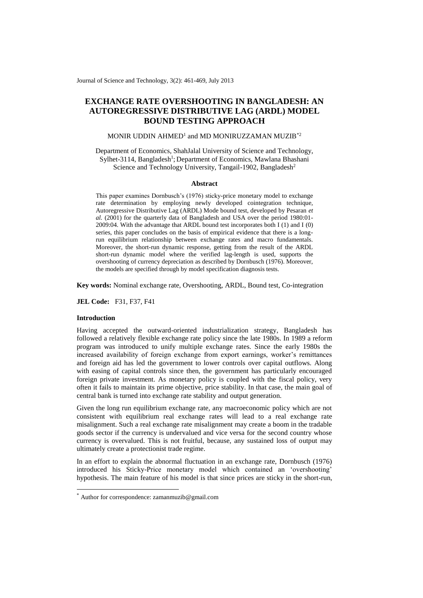Journal of Science and Technology, 3(2): 461-469, July 2013

# **EXCHANGE RATE OVERSHOOTING IN BANGLADESH: AN AUTOREGRESSIVE DISTRIBUTIVE LAG (ARDL) MODEL BOUND TESTING APPROACH**

## MONIR UDDIN AHMED $^1$  and MD MONIRUZZAMAN MUZIB $^{\ast 2}$

Department of Economics, ShahJalal University of Science and Technology, Sylhet-3114, Bangladesh<sup>1</sup>; Department of Economics, Mawlana Bhashani Science and Technology University, Tangail-1902, Bangladesh<sup>2</sup>

# **Abstract**

This paper examines Dornbusch's (1976) sticky-price monetary model to exchange rate determination by employing newly developed cointegration technique, Autoregressive Distributive Lag (ARDL) Mode bound test, developed by Pesaran *et al.* (2001) for the quarterly data of Bangladesh and USA over the period 1980:01- 2009:04. With the advantage that ARDL bound test incorporates both I (1) and I (0) series, this paper concludes on the basis of empirical evidence that there is a longrun equilibrium relationship between exchange rates and macro fundamentals. Moreover, the short-run dynamic response, getting from the result of the ARDL short-run dynamic model where the verified lag-length is used, supports the overshooting of currency depreciation as described by Dornbusch (1976). Moreover, the models are specified through by model specification diagnosis tests.

**Key words:** Nominal exchange rate, Overshooting, ARDL, Bound test, Co-integration

**JEL Code:** F31, F37, F41

### **Introduction**

1

Having accepted the outward-oriented industrialization strategy, Bangladesh has followed a relatively flexible exchange rate policy since the late 1980s. In 1989 a reform program was introduced to unify multiple exchange rates. Since the early 1980s the increased availability of foreign exchange from export earnings, worker's remittances and foreign aid has led the government to lower controls over capital outflows. Along with easing of capital controls since then, the government has particularly encouraged foreign private investment. As monetary policy is coupled with the fiscal policy, very often it fails to maintain its prime objective, price stability. In that case, the main goal of central bank is turned into exchange rate stability and output generation.

Given the long run equilibrium exchange rate, any macroeconomic policy which are not consistent with equilibrium real exchange rates will lead to a real exchange rate misalignment. Such a real exchange rate misalignment may create a boom in the tradable goods sector if the currency is undervalued and vice versa for the second country whose currency is overvalued. This is not fruitful, because, any sustained loss of output may ultimately create a protectionist trade regime.

In an effort to explain the abnormal fluctuation in an exchange rate, Dornbusch (1976) introduced his Sticky-Price monetary model which contained an 'overshooting' hypothesis. The main feature of his model is that since prices are sticky in the short-run,

<sup>\*</sup> Author for correspondence: zamanmuzib@gmail.com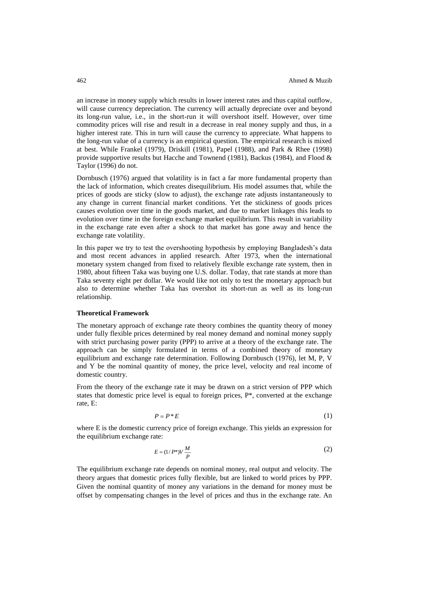an increase in money supply which results in lower interest rates and thus capital outflow, will cause currency depreciation. The currency will actually depreciate over and beyond its long-run value, i.e., in the short-run it will overshoot itself. However, over time commodity prices will rise and result in a decrease in real money supply and thus, in a higher interest rate. This in turn will cause the currency to appreciate. What happens to the long-run value of a currency is an empirical question. The empirical research is mixed at best. While Frankel (1979), Driskill (1981), Papel (1988), and Park & Rhee (1998) provide supportive results but Hacche and Townend (1981), Backus (1984), and Flood  $\&$ Taylor (1996) do not.

Dornbusch (1976) argued that volatility is in fact a far more fundamental property than the lack of information, which creates disequilibrium. His model assumes that, while the prices of goods are sticky (slow to adjust), the exchange rate adjusts instantaneously to any change in current financial market conditions. Yet the stickiness of goods prices causes evolution over time in the goods market, and due to market linkages this leads to evolution over time in the foreign exchange market equilibrium. This result in variability in the exchange rate even after a shock to that market has gone away and hence the exchange rate volatility.

In this paper we try to test the overshooting hypothesis by employing Bangladesh's data and most recent advances in applied research. After 1973, when the international monetary system changed from fixed to relatively flexible exchange rate system, then in 1980, about fifteen Taka was buying one U.S. dollar. Today, that rate stands at more than Taka seventy eight per dollar. We would like not only to test the monetary approach but also to determine whether Taka has overshot its short-run as well as its long-run relationship.

#### **Theoretical Framework**

The monetary approach of exchange rate theory combines the quantity theory of money under fully flexible prices determined by real money demand and nominal money supply with strict purchasing power parity (PPP) to arrive at a theory of the exchange rate. The approach can be simply formulated in terms of a combined theory of monetary equilibrium and exchange rate determination. Following Dornbusch (1976), let M, P, V and Y be the nominal quantity of money, the price level, velocity and real income of domestic country.

From the theory of the exchange rate it may be drawn on a strict version of PPP which states that domestic price level is equal to foreign prices, P\*, converted at the exchange rate, E:

$$
P = P^*E \tag{1}
$$

where E is the domestic currency price of foreign exchange. This yields an expression for the equilibrium exchange rate:

$$
E = (1/P^*)V\frac{M}{P}
$$

The equilibrium exchange rate depends on nominal money, real output and velocity. The theory argues that domestic prices fully flexible, but are linked to world prices by PPP. Given the nominal quantity of money any variations in the demand for money must be offset by compensating changes in the level of prices and thus in the exchange rate. An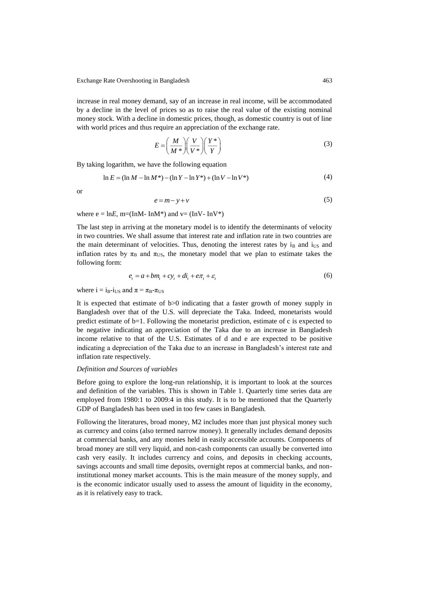Exchange Rate Overshooting in Bangladesh 463

increase in real money demand, say of an increase in real income, will be accommodated by a decline in the level of prices so as to raise the real value of the existing nominal money stock. With a decline in domestic prices, though, as domestic country is out of line with world prices and thus require an appreciation of the exchange rate.

$$
E = \left(\frac{M}{M^*}\right) \left(\frac{V}{V^*}\right) \left(\frac{Y^*}{Y}\right) \tag{3}
$$

By taking logarithm, we have the following equation

$$
\ln E = (\ln M - \ln M^*) - (\ln Y - \ln Y^*) + (\ln V - \ln V^*)
$$
\n(4)

or

$$
e = m - y + v \tag{5}
$$

where  $e = lnE$ , m=(InM- InM<sup>\*</sup>) and v= (InV- InV<sup>\*</sup>)

The last step in arriving at the monetary model is to identify the determinants of velocity in two countries. We shall assume that interest rate and inflation rate in two countries are the main determinant of velocities. Thus, denoting the interest rates by  $i_B$  and  $i_{US}$  and inflation rates by  $\pi_B$  and  $\pi_{US}$ , the monetary model that we plan to estimate takes the following form:

$$
e_t = a + bm_t + cy_t + di_t + e\pi_t + \varepsilon_t
$$
\n<sup>(6)</sup>

where  $i = i_B - i_{US}$  and  $\pi = \pi_B - \pi_{US}$ 

It is expected that estimate of b>0 indicating that a faster growth of money supply in Bangladesh over that of the U.S. will depreciate the Taka. Indeed, monetarists would predict estimate of b=1. Following the monetarist prediction, estimate of c is expected to be negative indicating an appreciation of the Taka due to an increase in Bangladesh income relative to that of the U.S. Estimates of d and e are expected to be positive indicating a depreciation of the Taka due to an increase in Bangladesh's interest rate and inflation rate respectively.

#### *Definition and Sources of variables*

Before going to explore the long-run relationship, it is important to look at the sources and definition of the variables. This is shown in Table 1. Quarterly time series data are employed from 1980:1 to 2009:4 in this study. It is to be mentioned that the Quarterly GDP of Bangladesh has been used in too few cases in Bangladesh.

Following the literatures, broad money, M2 includes more than just physical money such as currency and coins (also termed narrow money). It generally includes demand deposits at commercial banks, and any monies held in easily accessible accounts. Components of broad money are still very liquid, and non-cash components can usually be converted into cash very easily. It includes currency and coins, and deposits in checking accounts, savings accounts and small time deposits, overnight repos at commercial banks, and noninstitutional money market accounts. This is the main measure of the money supply, and is the economic indicator usually used to assess the amount of liquidity in the economy, as it is relatively easy to track.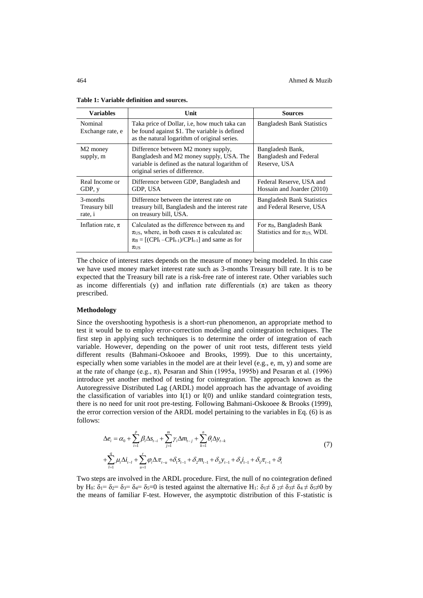| <b>Variables</b>                     | Unit                                                                                                                                                                                                                | <b>Sources</b>                                                                 |  |  |
|--------------------------------------|---------------------------------------------------------------------------------------------------------------------------------------------------------------------------------------------------------------------|--------------------------------------------------------------------------------|--|--|
| Nominal<br>Exchange rate, e          | Taka price of Dollar, <i>i.e.</i> , how much taka can<br>be found against \$1. The variable is defined<br>as the natural logarithm of original series.                                                              | <b>Bangladesh Bank Statistics</b>                                              |  |  |
| M <sub>2</sub> money<br>supply, m    | Difference between M2 money supply,<br>Bangladesh and M2 money supply, USA. The<br>variable is defined as the natural logarithm of<br>original series of difference.                                                | Bangladesh Bank,<br><b>Bangladesh and Federal</b><br>Reserve, USA              |  |  |
| Real Income or<br>GDP, y             | Difference between GDP, Bangladesh and<br>GDP, USA                                                                                                                                                                  | Federal Reserve, USA and<br>Hossain and Joarder (2010)                         |  |  |
| 3-months<br>Treasury bill<br>rate, i | Difference between the interest rate on<br>treasury bill, Bangladesh and the interest rate<br>on treasury bill, USA.                                                                                                | <b>Bangladesh Bank Statistics</b><br>and Federal Reserve, USA                  |  |  |
| Inflation rate, $\pi$                | Calculated as the difference between $\pi_B$ and<br>$\pi$ us, where, in both cases $\pi$ is calculated as:<br>$\pi_{\text{B}} = [(\text{CPI}_{t} - \text{CPI}_{t-1})/\text{CPI}_{t-1}]$ and same as for<br>$\pi$ US | For $\pi_B$ , Bangladesh Bank<br>Statistics and for $\pi$ <sub>US</sub> . WDI. |  |  |

**Table 1: Variable definition and sources.**

The choice of interest rates depends on the measure of money being modeled. In this case we have used money market interest rate such as 3-months Treasury bill rate. It is to be expected that the Treasury bill rate is a risk-free rate of interest rate. Other variables such as income differentials (y) and inflation rate differentials  $(\pi)$  are taken as theory prescribed.

# **Methodology**

Since the overshooting hypothesis is a short-run phenomenon, an appropriate method to test it would be to employ error-correction modeling and cointegration techniques. The first step in applying such techniques is to determine the order of integration of each variable. However, depending on the power of unit root tests, different tests yield different results (Bahmani-Oskooee and Brooks, 1999). Due to this uncertainty, especially when some variables in the model are at their level (e.g., e, m, y) and some are at the rate of change (e.g.,  $\pi$ ), Pesaran and Shin (1995a, 1995b) and Pesaran et al. (1996) introduce yet another method of testing for cointegration. The approach known as the Autoregressive Distributed Lag (ARDL) model approach has the advantage of avoiding the classification of variables into  $I(1)$  or  $I(0)$  and unlike standard cointegration tests, there is no need for unit root pre-testing. Following Bahmani-Oskooee & Brooks (1999), the error correction version of the ARDL model pertaining to the variables in Eq. (6) is as follows:

$$
\Delta e_i = \alpha_0 + \sum_{i=1}^p \beta_i \Delta s_{t-i} + \sum_{j=1}^m \gamma_i \Delta m_{t-j} + \sum_{k=1}^n \theta_i \Delta y_{t-k} + \sum_{l=1}^q \mu_l \Delta i_{t-l} + \sum_{u=1}^r \varphi_i \Delta \pi_{t-u} + \delta_1 s_{t-1} + \delta_2 m_{t-1} + \delta_3 y_{t-1} + \delta_4 i_{t-1} + \delta_5 \pi_{t-1} + \vartheta_t
$$
\n(7)

Two steps are involved in the ARDL procedure. First, the null of no cointegration defined by H<sub>0</sub>:  $\delta_1 = \delta_2 = \delta_3 = \delta_4 = \delta_5 = 0$  is tested against the alternative H<sub>1</sub>:  $\delta_1 \neq \delta_2 \neq \delta_3 \neq \delta_4 \neq \delta_5 \neq 0$  by the means of familiar F-test. However, the asymptotic distribution of this F-statistic is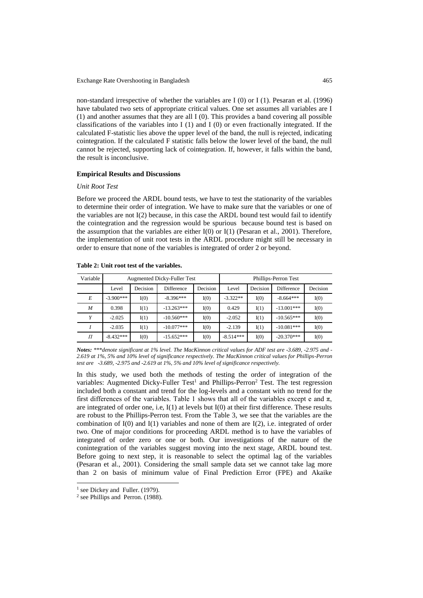non-standard irrespective of whether the variables are I (0) or I (1). Pesaran et al. (1996) have tabulated two sets of appropriate critical values. One set assumes all variables are I (1) and another assumes that they are all I (0). This provides a band covering all possible classifications of the variables into I  $(1)$  and I  $(0)$  or even fractionally integrated. If the calculated F-statistic lies above the upper level of the band, the null is rejected, indicating cointegration. If the calculated F statistic falls below the lower level of the band, the null cannot be rejected, supporting lack of cointegration. If, however, it falls within the band, the result is inconclusive.

# **Empirical Results and Discussions**

### *Unit Root Test*

Before we proceed the ARDL bound tests, we have to test the stationarity of the variables to determine their order of integration. We have to make sure that the variables or one of the variables are not I(2) because, in this case the ARDL bound test would fail to identify the cointegration and the regression would be spurious because bound test is based on the assumption that the variables are either  $I(0)$  or  $I(1)$  (Pesaran et al., 2001). Therefore, the implementation of unit root tests in the ARDL procedure might still be necessary in order to ensure that none of the variables is integrated of order 2 or beyond.

| Variable              | <b>Augmented Dicky-Fuller Test</b> |          |              | Phillips-Perron Test |             |          |              |          |
|-----------------------|------------------------------------|----------|--------------|----------------------|-------------|----------|--------------|----------|
|                       | Level                              | Decision | Difference   | Decision             | Level       | Decision | Difference   | Decision |
| E                     | $-3.900***$                        | I(0)     | $-8.396***$  | I(0)                 | $-3.322**$  | I(0)     | $-8.664***$  | I(0)     |
| $\boldsymbol{M}$      | 0.398                              | I(1)     | $-13.263***$ | I(0)                 | 0.429       | I(1)     | $-13.001***$ | I(0)     |
| Y                     | $-2.025$                           | I(1)     | $-10.560***$ | I(0)                 | $-2.052$    | I(1)     | $-10.565***$ | I(0)     |
|                       | $-2.035$                           | I(1)     | $-10.077***$ | I(0)                 | $-2.139$    | I(1)     | $-10.081***$ | I(0)     |
| $\boldsymbol{\varPi}$ | $-8.432***$                        | I(0)     | $-15.652***$ | I(0)                 | $-8.514***$ | I(0)     | $-20.370***$ | I(0)     |

**Table 2: Unit root test of the variables.**

*Notes: \*\*\*denote significant at 1% level. The MacKinnon critical values for ADF test are -3.689, -2.975 and - 2.619 at 1%, 5% and 10% level of significance respectively. The MacKinnon critical values for Phillips-Perron test are -3.689, -2.975 and -2.619 at 1%, 5% and 10% level of significance respectively.*

In this study, we used both the methods of testing the order of integration of the variables: Augmented Dicky-Fuller Test<sup>1</sup> and Phillips-Perron<sup>2</sup> Test. The test regression included both a constant and trend for the log-levels and a constant with no trend for the first differences of the variables. Table 1 shows that all of the variables except e and  $\pi$ , are integrated of order one, i.e, I(1) at levels but I(0) at their first difference. These results are robust to the Phillips-Perron test. From the Table 3, we see that the variables are the combination of  $I(0)$  and  $I(1)$  variables and none of them are  $I(2)$ , i.e. integrated of order two. One of major conditions for proceeding ARDL method is to have the variables of integrated of order zero or one or both. Our investigations of the nature of the conintegration of the variables suggest moving into the next stage, ARDL bound test. Before going to next step, it is reasonable to select the optimal lag of the variables (Pesaran et al., 2001). Considering the small sample data set we cannot take lag more than 2 on basis of minimum value of Final Prediction Error (FPE) and Akaike

-

<sup>&</sup>lt;sup>1</sup> see Dickey and Fuller. (1979).

<sup>2</sup> see Phillips and Perron. (1988).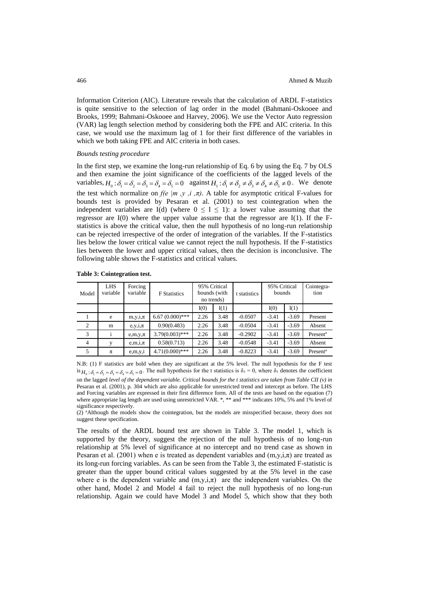Information Criterion (AIC). Literature reveals that the calculation of ARDL F-statistics is quite sensitive to the selection of lag order in the model (Bahmani-Oskooee and Brooks, 1999; Bahmani-Oskooee and Harvey, 2006). We use the Vector Auto regression (VAR) lag length selection method by considering both the FPE and AIC criteria. In this case, we would use the maximum lag of 1 for their first difference of the variables in which we both taking FPE and AIC criteria in both cases.

### *Bounds testing procedure*

In the first step, we examine the long-run relationship of Eq. 6 by using the Eq. 7 by OLS and then examine the joint significance of the coefficients of the lagged levels of the variables,  $H_0: \delta_1 = \delta_2 = \delta_3 = \delta_4 = \delta_5 = 0$  against  $H_1: \delta_1 \neq \delta_2 \neq \delta_3 \neq \delta_4 \neq \delta_5 \neq 0$ . We denote the test which normalize on  $f(e | m, y, i, \pi)$ . A table for asymptotic critical F-values for bounds test is provided by Pesaran et al. (2001) to test cointegration when the independent variables are I(d) (where  $0 \le I \le 1$ ): a lower value assuming that the regressor are  $I(0)$  where the upper value assume that the regressor are  $I(1)$ . If the Fstatistics is above the critical value, then the null hypothesis of no long-run relationship can be rejected irrespective of the order of integration of the variables. If the F-statistics lies below the lower critical value we cannot reject the null hypothesis. If the F-statistics lies between the lower and upper critical values, then the decision is inconclusive. The following table shows the F-statistics and critical values.

| Model          | <b>LHS</b><br>variable | Forcing<br>variable | <b>F</b> Statistics | 95% Critical<br>bounds (with<br>no trends) |      | t statistics | 95% Critical<br>bounds |         | Cointegra-<br>tion   |
|----------------|------------------------|---------------------|---------------------|--------------------------------------------|------|--------------|------------------------|---------|----------------------|
|                |                        |                     |                     | I(0)                                       | I(1) |              | I(0)                   | I(1)    |                      |
|                | e                      | $m, y, i, \pi$      | $6.67(0.000)$ ***   | 2.26                                       | 3.48 | $-0.0507$    | $-3.41$                | $-3.69$ | Present              |
| $\overline{c}$ | m                      | $e, y, i, \pi$      | 0.90(0.483)         | 2.26                                       | 3.48 | $-0.0504$    | $-3.41$                | $-3.69$ | Absent               |
| 3              |                        | $e, m, y, \pi$      | $3.79(0.003)$ ***   | 2.26                                       | 3.48 | $-0.2902$    | $-3.41$                | $-3.69$ | Present <sup>a</sup> |
| $\overline{4}$ |                        | $e, m, 1, \pi$      | 0.58(0.713)         | 2.26                                       | 3.48 | $-0.0548$    | $-3.41$                | $-3.69$ | Absent               |
|                | $\pi$                  | e, m, y, i          | $4.71(0.000)$ ***   | 2.26                                       | 3.48 | $-0.8223$    | $-3.41$                | $-3.69$ | Present <sup>a</sup> |

**Table 3: Cointegration test.**

N.B: (1) F statistics are bold when they are significant at the 5% level. The null hypothesis for the F test is  $H_0: \delta_1 = \delta_2 = \delta_3 = \delta_4 = \delta_5 = 0$ . The null hypothesis for the t statistics is  $\delta_1 = 0$ , where  $\delta_1$  denotes the coefficient

on the lagged *level of the dependent variable. Critical bounds for the t statistics are taken from Table CII (v) in* Pesaran et al. (2001), p. 304 which are also applicable for unrestricted trend and intercept as before. The LHS and Forcing variables are expressed in their first difference form. All of the tests are based on the equation (7) where appropriate lag length are used using unrestricted VAR. \*, \*\* and \*\*\* indicates 10%, 5% and 1% level of significance respectively.

(2) <sup>a</sup>Although the models show the cointegration, but the models are misspecified because, theory does not suggest these specification.

The results of the ARDL bound test are shown in Table 3. The model 1, which is supported by the theory, suggest the rejection of the null hypothesis of no long-run relationship at 5% level of significance at no intercept and no trend case as shown in Pesaran et al. (2001) when e is treated as dependent variables and  $(m,y,i,\pi)$  are treated as its long-run forcing variables. As can be seen from the Table 3, the estimated F-statistic is greater than the upper bound critical values suggested by at the 5% level in the case where e is the dependent variable and  $(m,y,i,\pi)$  are the independent variables. On the other hand, Model 2 and Model 4 fail to reject the null hypothesis of no long-run relationship. Again we could have Model 3 and Model 5, which show that they both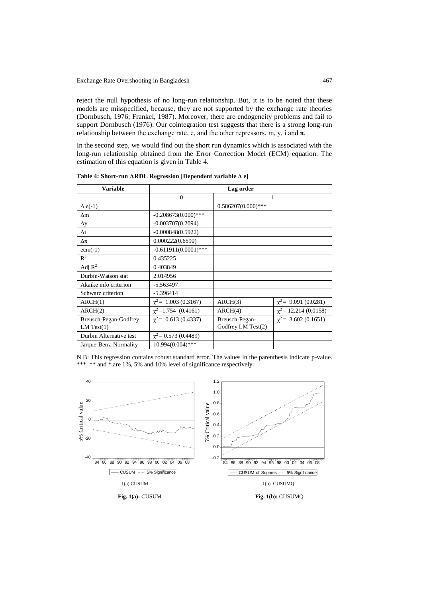reject the null hypothesis of no long-run relationship. But, it is to be noted that these models are misspecified, because, they are not supported by the exchange rate theories (Dornbusch, 1976; Frankel, 1987). Moreover, there are endogeneity problems and fail to support Dornbusch (1976). Our cointegration test suggests that there is a strong long-run relationship between the exchange rate, e, and the other repressors, m, y, i and  $\pi$ .

In the second step, we would find out the short run dynamics which is associated with the long-run relationship obtained from the Error Correction Model (ECM) equation. The estimation of this equation is given in Table 4.

| <b>Variable</b>                     | Lag order                   |                                      |                            |  |  |
|-------------------------------------|-----------------------------|--------------------------------------|----------------------------|--|--|
|                                     | $\mathbf{0}$                |                                      | 1                          |  |  |
| $\Delta$ e(-1)                      |                             | $0.586207(0.000)$ ***                |                            |  |  |
| $\Delta$ m                          | $-0.208673(0.000)$ ***      |                                      |                            |  |  |
| $\Delta y$                          | $-0.003707(0.2094)$         |                                      |                            |  |  |
| $\Delta i$                          | $-0.000848(0.5922)$         |                                      |                            |  |  |
| $\Delta \pi$                        | 0.000222(0.6590)            |                                      |                            |  |  |
| $ecm(-1)$                           | $-0.611911(0.0001)$ ***     |                                      |                            |  |  |
| $\mathbb{R}^2$                      | 0.435225                    |                                      |                            |  |  |
| Adj $R^2$                           | 0.403849                    |                                      |                            |  |  |
| Durbin-Watson stat                  | 2.014956                    |                                      |                            |  |  |
| Akaike info criterion               | $-5.563497$                 |                                      |                            |  |  |
| Schwarz criterion                   | $-5.396414$                 |                                      |                            |  |  |
| ARCH(1)                             | $\gamma^2$ = 1.003 (0.3167) | ARCH(3)                              | $\chi^2$ = 9.091 (0.0281)  |  |  |
| ARCH(2)                             | $\chi^2$ =1.754 (0.4161)    | ARCH(4)                              | $\chi^2$ = 12.214 (0.0158) |  |  |
| Breusch-Pegan-Godfrey<br>LM Test(1) | $\gamma^2$ = 0.613 (0.4337) | Breusch-Pegan-<br>Godfrey LM Test(2) | $\chi^2$ = 3.602 (0.1651)  |  |  |
| Durbin Alternative test             | $\gamma^2$ = 0.573 (0.4489) |                                      |                            |  |  |
| Jarque-Berra Normality              | 10.994(0.004)***            |                                      |                            |  |  |

**Table 4: Short-run ARDL Regression [Dependent variable Δ e]**

N.B: This regression contains robust standard error. The values in the parenthesis indicate p-value. \*\*\*, \*\* and \* are 1%, 5% and 10% level of significance respectively.

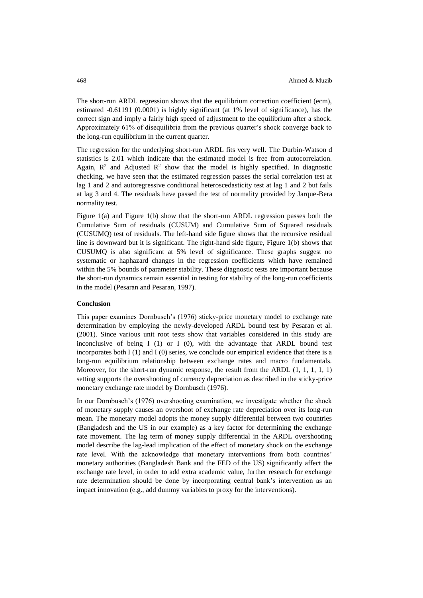The short-run ARDL regression shows that the equilibrium correction coefficient (ecm), estimated -0.61191 (0.0001) is highly significant (at 1% level of significance), has the correct sign and imply a fairly high speed of adjustment to the equilibrium after a shock. Approximately 61% of disequilibria from the previous quarter's shock converge back to the long-run equilibrium in the current quarter.

The regression for the underlying short-run ARDL fits very well. The Durbin-Watson d statistics is 2.01 which indicate that the estimated model is free from autocorrelation. Again,  $\mathbb{R}^2$  and Adjusted  $\mathbb{R}^2$  show that the model is highly specified. In diagnostic checking, we have seen that the estimated regression passes the serial correlation test at lag 1 and 2 and autoregressive conditional heteroscedasticity test at lag 1 and 2 but fails at lag 3 and 4. The residuals have passed the test of normality provided by Jarque-Bera normality test.

Figure 1(a) and Figure 1(b) show that the short-run ARDL regression passes both the Cumulative Sum of residuals (CUSUM) and Cumulative Sum of Squared residuals (CUSUMQ) test of residuals. The left-hand side figure shows that the recursive residual line is downward but it is significant. The right-hand side figure, Figure 1(b) shows that CUSUMQ is also significant at 5% level of significance. These graphs suggest no systematic or haphazard changes in the regression coefficients which have remained within the 5% bounds of parameter stability. These diagnostic tests are important because the short-run dynamics remain essential in testing for stability of the long-run coefficients in the model (Pesaran and Pesaran, 1997).

### **Conclusion**

This paper examines Dornbusch's (1976) sticky-price monetary model to exchange rate determination by employing the newly-developed ARDL bound test by Pesaran et al. (2001). Since various unit root tests show that variables considered in this study are inconclusive of being I (1) or I (0), with the advantage that ARDL bound test incorporates both  $I(1)$  and  $I(0)$  series, we conclude our empirical evidence that there is a long-run equilibrium relationship between exchange rates and macro fundamentals. Moreover, for the short-run dynamic response, the result from the ARDL  $(1, 1, 1, 1, 1)$ setting supports the overshooting of currency depreciation as described in the sticky-price monetary exchange rate model by Dornbusch (1976).

In our Dornbusch's (1976) overshooting examination, we investigate whether the shock of monetary supply causes an overshoot of exchange rate depreciation over its long-run mean. The monetary model adopts the money supply differential between two countries (Bangladesh and the US in our example) as a key factor for determining the exchange rate movement. The lag term of money supply differential in the ARDL overshooting model describe the lag-lead implication of the effect of monetary shock on the exchange rate level. With the acknowledge that monetary interventions from both countries' monetary authorities (Bangladesh Bank and the FED of the US) significantly affect the exchange rate level, in order to add extra academic value, further research for exchange rate determination should be done by incorporating central bank's intervention as an impact innovation (e.g., add dummy variables to proxy for the interventions).